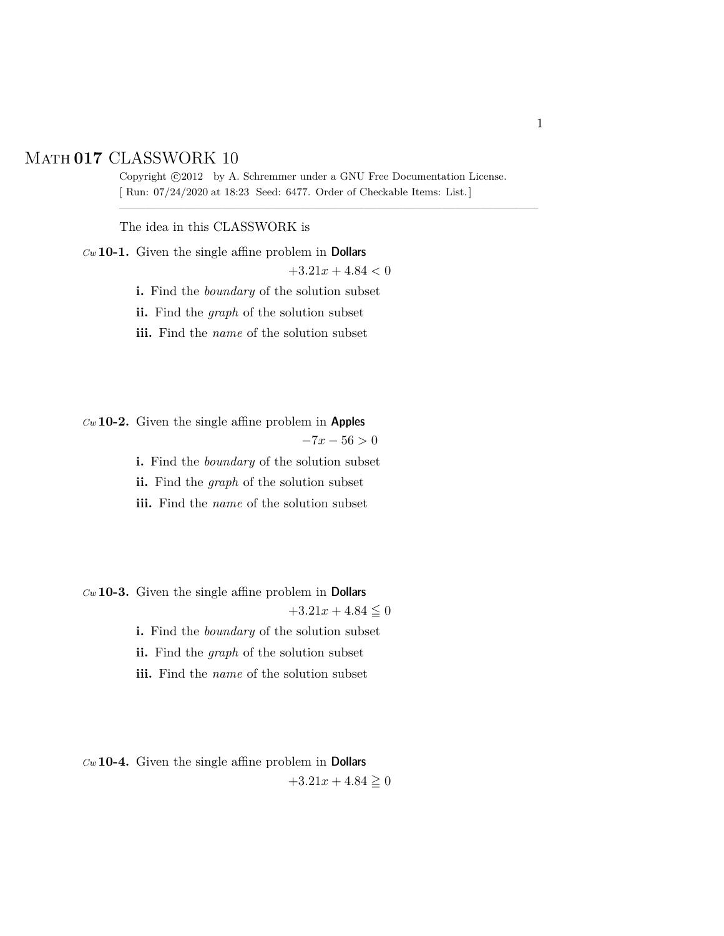## Math **017** CLASSWORK 10

Copyright  $\odot$ 2012 by A. Schremmer under a GNU Free Documentation License. [ Run: 07/24/2020 at 18:23 Seed: 6477. Order of Checkable Items: List.]

————————————————————————————————–

The idea in this CLASSWORK is

*Cw* **10-1.** Given the single affine problem in Dollars

 $+3.21x + 4.84 < 0$ 

**i.** Find the *boundary* of the solution subset

**ii.** Find the *graph* of the solution subset

**iii.** Find the *name* of the solution subset

*Cw* **10-2.** Given the single affine problem in Apples

 $-7x - 56 > 0$ 

**i.** Find the *boundary* of the solution subset

**ii.** Find the *graph* of the solution subset

**iii.** Find the *name* of the solution subset

*Cw* **10-3.** Given the single affine problem in Dollars

 $+3.21x + 4.84 \leq 0$ 

**i.** Find the *boundary* of the solution subset

**ii.** Find the *graph* of the solution subset

**iii.** Find the *name* of the solution subset

*Cw* **10-4.** Given the single affine problem in Dollars  $+3.21x + 4.84 \ge 0$